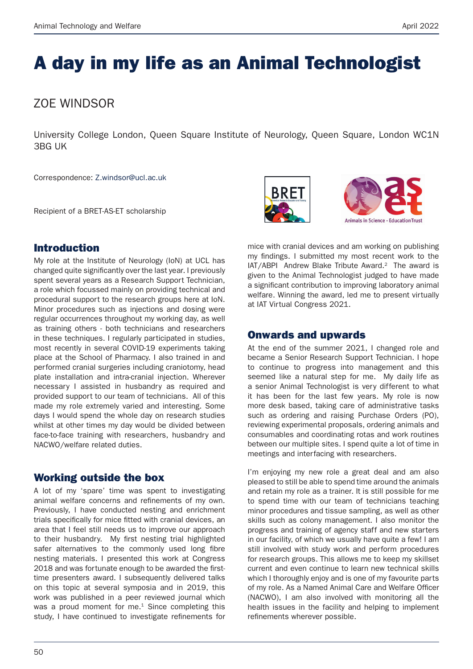# A day in my life as an Animal Technologist

## ZOE WINDSOR

University College London, Queen Square Institute of Neurology, Queen Square, London WC1N 3BG UK

Correspondence: Z.windsor@ucl.ac.uk

Recipient of a BRET-AS-ET scholarship



### Introduction

My role at the Institute of Neurology (IoN) at UCL has changed quite significantly over the last year. I previously spent several years as a Research Support Technician, a role which focussed mainly on providing technical and procedural support to the research groups here at IoN. Minor procedures such as injections and dosing were regular occurrences throughout my working day, as well as training others - both technicians and researchers in these techniques. I regularly participated in studies, most recently in several COVID-19 experiments taking place at the School of Pharmacy. I also trained in and performed cranial surgeries including craniotomy, head plate installation and intra-cranial injection. Wherever necessary I assisted in husbandry as required and provided support to our team of technicians. All of this made my role extremely varied and interesting. Some days I would spend the whole day on research studies whilst at other times my day would be divided between face-to-face training with researchers, husbandry and NACWO/welfare related duties.

#### Working outside the box

A lot of my 'spare' time was spent to investigating animal welfare concerns and refinements of my own. Previously, I have conducted nesting and enrichment trials specifically for mice fitted with cranial devices, an area that I feel still needs us to improve our approach to their husbandry. My first nesting trial highlighted safer alternatives to the commonly used long fibre nesting materials. I presented this work at Congress 2018 and was fortunate enough to be awarded the firsttime presenters award. I subsequently delivered talks on this topic at several symposia and in 2019, this work was published in a peer reviewed journal which was a proud moment for me.<sup>1</sup> Since completing this study, I have continued to investigate refinements for

mice with cranial devices and am working on publishing<br>my findings I submitted my most recent work to the my findings. I submitted my most recent work to the  $IAT/ABPI$  Andrew Blake Tribute Award.<sup>2</sup> The award is given to the Animal Technologist judged to have made a significant contribution to improving laboratory animal welfare. Winning the award, led me to present virtually at IAT Virtual Congress 2021. ribution to im<br>ribution to im<br>the award, le<br>gress 2021.

#### Onwards and upwards

At the end of the summer 2021, I changed role and became a Senior Research Support Technician. I hope to continue to progress into management and this seemed like a natural step for me. My daily life as a senior Animal Technologist is very different to what If has been for the last few years. My role is now more desk based, taking care of administrative tasks such as ordering and raising Purchase Orders (PO), reviewing experimental proposals, ordering animals and consumables and coordinating rotas and work routines between our multiple sites. I spend quite a lot of time in meetings and interfacing with researchers.

I'm enjoying my new role a great deal and am also pleased to still be able to spend time around the animals and retain my role as a trainer. It is still possible for me to spend time with our team of technicians teaching minor procedures and tissue sampling, as well as other skills such as colony management. I also monitor the progress and training of agency staff and new starters in our facility, of which we usually have quite a few! I am still involved with study work and perform procedures for research groups. This allows me to keep my skillset current and even continue to learn new technical skills which I thoroughly enjoy and is one of my favourite parts of my role. As a Named Animal Care and Welfare Officer (NACWO), I am also involved with monitoring all the health issues in the facility and helping to implement refinements wherever possible.